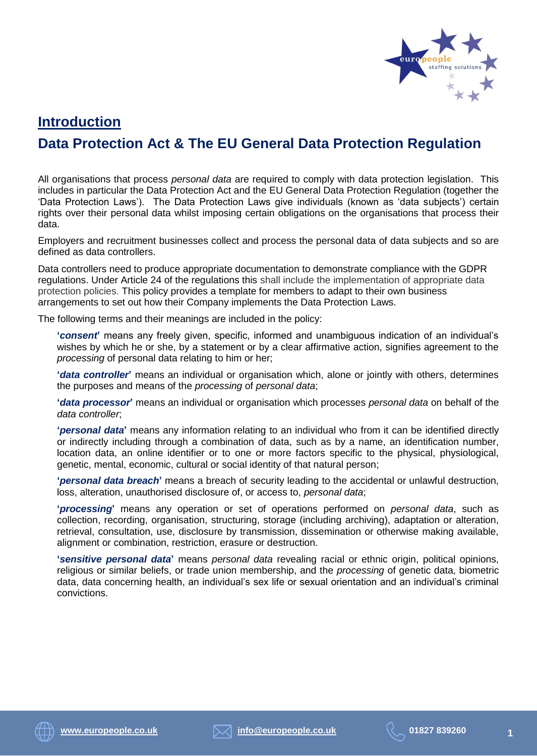

# **Introduction Data Protection Act & The EU General Data Protection Regulation**

All organisations that process *personal data* are required to comply with data protection legislation. This includes in particular the Data Protection Act and the EU General Data Protection Regulation (together the 'Data Protection Laws'). The Data Protection Laws give individuals (known as 'data subjects') certain rights over their personal data whilst imposing certain obligations on the organisations that process their data.

Employers and recruitment businesses collect and process the personal data of data subjects and so are defined as data controllers.

Data controllers need to produce appropriate documentation to demonstrate compliance with the GDPR regulations. Under Article 24 of the regulations this shall include the implementation of appropriate data protection policies. This policy provides a template for members to adapt to their own business arrangements to set out how their Company implements the Data Protection Laws.

The following terms and their meanings are included in the policy:

**'***consent***'** means any freely given, specific, informed and unambiguous indication of an individual's wishes by which he or she, by a statement or by a clear affirmative action, signifies agreement to the *processing* of personal data relating to him or her;

**'***data controller***'** means an individual or organisation which, alone or jointly with others, determines the purposes and means of the *processing* of *personal data*;

**'***data processor***'** means an individual or organisation which processes *personal data* on behalf of the *data controller*;

**'***personal data***'** means any information relating to an individual who from it can be identified directly or indirectly including through a combination of data, such as by a name, an identification number, location data, an online identifier or to one or more factors specific to the physical, physiological, genetic, mental, economic, cultural or social identity of that natural person;

**'***personal data breach***'** means a breach of security leading to the accidental or unlawful destruction, loss, alteration, unauthorised disclosure of, or access to, *personal data*;

**'***processing***'** means any operation or set of operations performed on *personal data*, such as collection, recording, organisation, structuring, storage (including archiving), adaptation or alteration, retrieval, consultation, use, disclosure by transmission, dissemination or otherwise making available, alignment or combination, restriction, erasure or destruction.

**'***sensitive personal data***'** means *personal data* revealing racial or ethnic origin, political opinions, religious or similar beliefs, or trade union membership, and the *processing* of genetic data, biometric data, data concerning health, an individual's sex life or sexual orientation and an individual's criminal convictions.

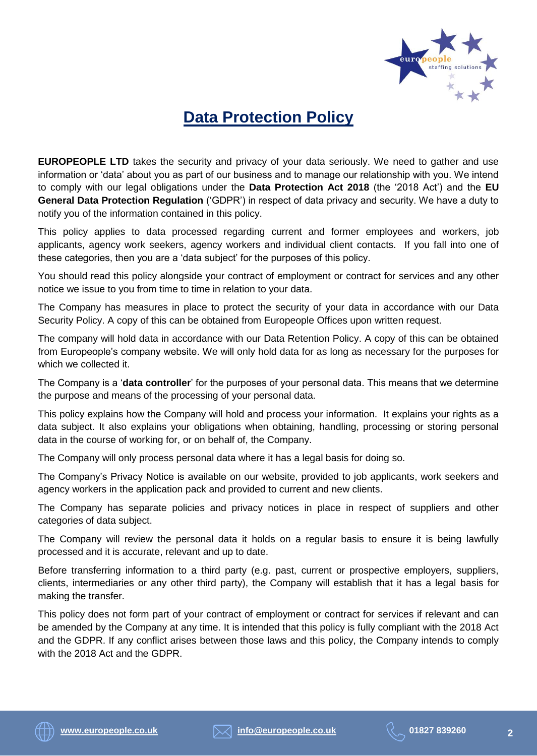

# **Data Protection Policy**

**EUROPEOPLE LTD** takes the security and privacy of your data seriously. We need to gather and use information or 'data' about you as part of our business and to manage our relationship with you. We intend to comply with our legal obligations under the **Data Protection Act 2018** (the '2018 Act') and the **EU General Data Protection Regulation** ('GDPR') in respect of data privacy and security. We have a duty to notify you of the information contained in this policy.

This policy applies to data processed regarding current and former employees and workers, job applicants, agency work seekers, agency workers and individual client contacts. If you fall into one of these categories, then you are a 'data subject' for the purposes of this policy.

You should read this policy alongside your contract of employment or contract for services and any other notice we issue to you from time to time in relation to your data.

The Company has measures in place to protect the security of your data in accordance with our Data Security Policy. A copy of this can be obtained from Europeople Offices upon written request.

The company will hold data in accordance with our Data Retention Policy. A copy of this can be obtained from Europeople's company website. We will only hold data for as long as necessary for the purposes for which we collected it.

The Company is a '**data controller**' for the purposes of your personal data. This means that we determine the purpose and means of the processing of your personal data.

This policy explains how the Company will hold and process your information. It explains your rights as a data subject. It also explains your obligations when obtaining, handling, processing or storing personal data in the course of working for, or on behalf of, the Company.

The Company will only process personal data where it has a legal basis for doing so.

The Company's Privacy Notice is available on our website, provided to job applicants, work seekers and agency workers in the application pack and provided to current and new clients.

The Company has separate policies and privacy notices in place in respect of suppliers and other categories of data subject.

The Company will review the personal data it holds on a regular basis to ensure it is being lawfully processed and it is accurate, relevant and up to date.

Before transferring information to a third party (e.g. past, current or prospective employers, suppliers, clients, intermediaries or any other third party), the Company will establish that it has a legal basis for making the transfer.

This policy does not form part of your contract of employment or contract for services if relevant and can be amended by the Company at any time. It is intended that this policy is fully compliant with the 2018 Act and the GDPR. If any conflict arises between those laws and this policy, the Company intends to comply with the 2018 Act and the GDPR.





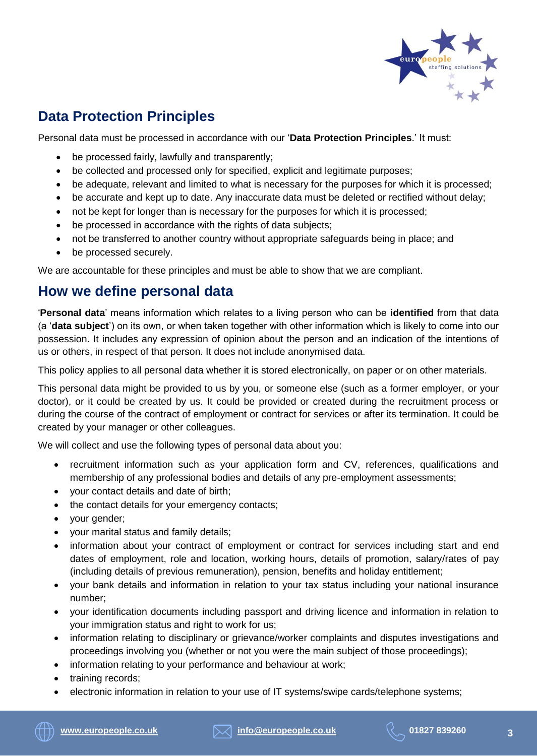

# **Data Protection Principles**

Personal data must be processed in accordance with our '**Data Protection Principles**.' It must:

- be processed fairly, lawfully and transparently;
- be collected and processed only for specified, explicit and legitimate purposes;
- be adequate, relevant and limited to what is necessary for the purposes for which it is processed;
- be accurate and kept up to date. Any inaccurate data must be deleted or rectified without delay;
- not be kept for longer than is necessary for the purposes for which it is processed;
- be processed in accordance with the rights of data subjects;
- not be transferred to another country without appropriate safeguards being in place; and
- be processed securely.

We are accountable for these principles and must be able to show that we are compliant.

## **How we define personal data**

'**Personal data**' means information which relates to a living person who can be **identified** from that data (a '**data subject**') on its own, or when taken together with other information which is likely to come into our possession. It includes any expression of opinion about the person and an indication of the intentions of us or others, in respect of that person. It does not include anonymised data.

This policy applies to all personal data whether it is stored electronically, on paper or on other materials.

This personal data might be provided to us by you, or someone else (such as a former employer, or your doctor), or it could be created by us. It could be provided or created during the recruitment process or during the course of the contract of employment or contract for services or after its termination. It could be created by your manager or other colleagues.

We will collect and use the following types of personal data about you:

- recruitment information such as your application form and CV, references, qualifications and membership of any professional bodies and details of any pre-employment assessments;
- your contact details and date of birth;
- the contact details for your emergency contacts;
- your gender;
- your marital status and family details;
- information about your contract of employment or contract for services including start and end dates of employment, role and location, working hours, details of promotion, salary/rates of pay (including details of previous remuneration), pension, benefits and holiday entitlement;
- your bank details and information in relation to your tax status including your national insurance number;
- your identification documents including passport and driving licence and information in relation to your immigration status and right to work for us;
- information relating to disciplinary or grievance/worker complaints and disputes investigations and proceedings involving you (whether or not you were the main subject of those proceedings);
- information relating to your performance and behaviour at work;
- training records;
- electronic information in relation to your use of IT systems/swipe cards/telephone systems;

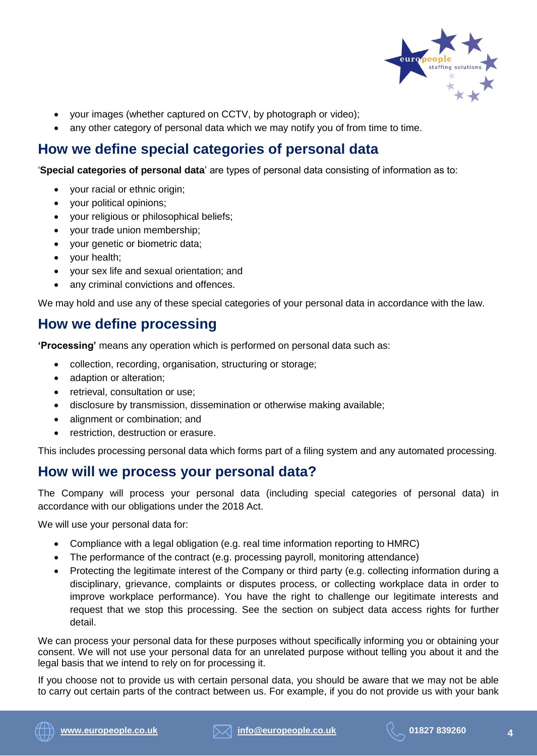

- your images (whether captured on CCTV, by photograph or video);
- any other category of personal data which we may notify you of from time to time.

# **How we define special categories of personal data**

'**Special categories of personal data**' are types of personal data consisting of information as to:

- your racial or ethnic origin;
- your political opinions;
- your religious or philosophical beliefs;
- your trade union membership;
- your genetic or biometric data;
- your health;
- your sex life and sexual orientation; and
- any criminal convictions and offences.

We may hold and use any of these special categories of your personal data in accordance with the law.

## **How we define processing**

**'Processing'** means any operation which is performed on personal data such as:

- collection, recording, organisation, structuring or storage;
- adaption or alteration;
- retrieval, consultation or use;
- disclosure by transmission, dissemination or otherwise making available;
- alignment or combination; and
- restriction, destruction or erasure.

This includes processing personal data which forms part of a filing system and any automated processing.

### **How will we process your personal data?**

The Company will process your personal data (including special categories of personal data) in accordance with our obligations under the 2018 Act.

We will use your personal data for:

- Compliance with a legal obligation (e.g. real time information reporting to HMRC)
- The performance of the contract (e.g. processing payroll, monitoring attendance)
- Protecting the legitimate interest of the Company or third party (e.g. collecting information during a disciplinary, grievance, complaints or disputes process, or collecting workplace data in order to improve workplace performance). You have the right to challenge our legitimate interests and request that we stop this processing. See the section on subject data access rights for further detail.

We can process your personal data for these purposes without specifically informing you or obtaining your consent. We will not use your personal data for an unrelated purpose without telling you about it and the legal basis that we intend to rely on for processing it.

If you choose not to provide us with certain personal data, you should be aware that we may not be able to carry out certain parts of the contract between us. For example, if you do not provide us with your bank

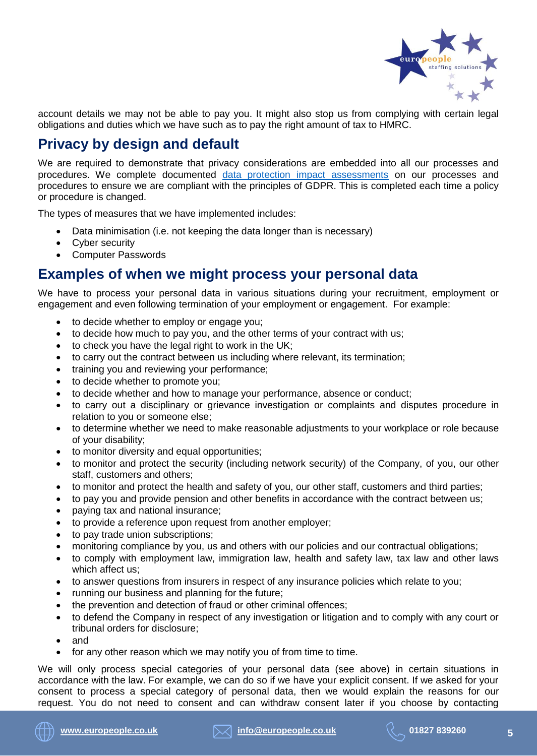

account details we may not be able to pay you. It might also stop us from complying with certain legal obligations and duties which we have such as to pay the right amount of tax to HMRC.

# **Privacy by design and default**

We are required to demonstrate that privacy considerations are embedded into all our processes and procedures. We complete documented [data protection impact assessments](https://ico.org.uk/for-organisations/guide-to-the-general-data-protection-regulation-gdpr/accountability-and-governance/data-protection-impact-assessments/) on our processes and procedures to ensure we are compliant with the principles of GDPR. This is completed each time a policy or procedure is changed.

The types of measures that we have implemented includes:

- Data minimisation (i.e. not keeping the data longer than is necessary)
- Cyber security
- Computer Passwords

#### **Examples of when we might process your personal data**

We have to process your personal data in various situations during your recruitment, employment or engagement and even following termination of your employment or engagement. For example:

- to decide whether to employ or engage you;
- to decide how much to pay you, and the other terms of your contract with us;
- to check you have the legal right to work in the UK;
- to carry out the contract between us including where relevant, its termination;
- training you and reviewing your performance;
- to decide whether to promote you;
- to decide whether and how to manage your performance, absence or conduct;
- to carry out a disciplinary or grievance investigation or complaints and disputes procedure in relation to you or someone else;
- to determine whether we need to make reasonable adjustments to your workplace or role because of your disability;
- to monitor diversity and equal opportunities;
- to monitor and protect the security (including network security) of the Company, of you, our other staff, customers and others;
- to monitor and protect the health and safety of you, our other staff, customers and third parties;
- to pay you and provide pension and other benefits in accordance with the contract between us;
- paying tax and national insurance;
- to provide a reference upon request from another employer;
- to pay trade union subscriptions;
- monitoring compliance by you, us and others with our policies and our contractual obligations;
- to comply with employment law, immigration law, health and safety law, tax law and other laws which affect us;
- to answer questions from insurers in respect of any insurance policies which relate to you;
- running our business and planning for the future;
- the prevention and detection of fraud or other criminal offences;
- to defend the Company in respect of any investigation or litigation and to comply with any court or tribunal orders for disclosure;
- and
- for any other reason which we may notify you of from time to time.

We will only process special categories of your personal data (see above) in certain situations in accordance with the law. For example, we can do so if we have your explicit consent. If we asked for your consent to process a special category of personal data, then we would explain the reasons for our request. You do not need to consent and can withdraw consent later if you choose by contacting

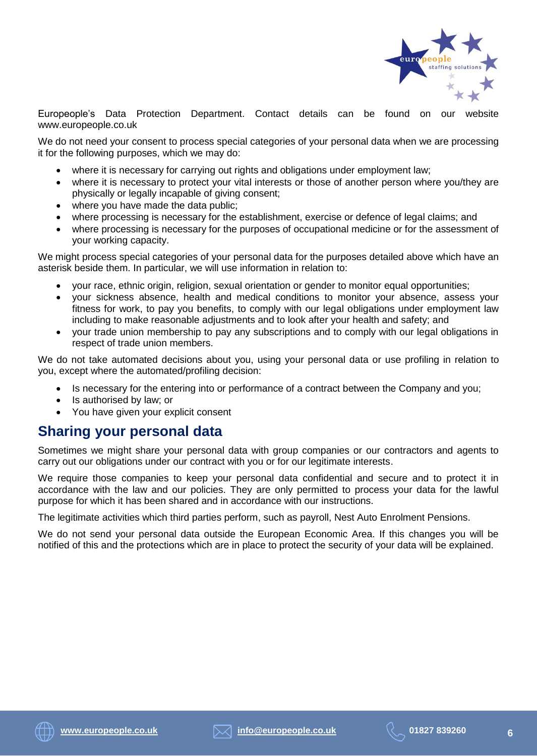

Europeople's Data Protection Department. Contact details can be found on our website www.europeople.co.uk

We do not need your consent to process special categories of your personal data when we are processing it for the following purposes, which we may do:

- where it is necessary for carrying out rights and obligations under employment law;
- where it is necessary to protect your vital interests or those of another person where you/they are physically or legally incapable of giving consent;
- where you have made the data public;
- where processing is necessary for the establishment, exercise or defence of legal claims; and
- where processing is necessary for the purposes of occupational medicine or for the assessment of your working capacity.

We might process special categories of your personal data for the purposes detailed above which have an asterisk beside them. In particular, we will use information in relation to:

- your race, ethnic origin, religion, sexual orientation or gender to monitor equal opportunities;
- your sickness absence, health and medical conditions to monitor your absence, assess your fitness for work, to pay you benefits, to comply with our legal obligations under employment law including to make reasonable adjustments and to look after your health and safety; and
- your trade union membership to pay any subscriptions and to comply with our legal obligations in respect of trade union members.

We do not take automated decisions about you, using your personal data or use profiling in relation to you, except where the automated/profiling decision:

- Is necessary for the entering into or performance of a contract between the Company and you;
- Is authorised by law; or
- You have given your explicit consent

#### **Sharing your personal data**

Sometimes we might share your personal data with group companies or our contractors and agents to carry out our obligations under our contract with you or for our legitimate interests.

We require those companies to keep your personal data confidential and secure and to protect it in accordance with the law and our policies. They are only permitted to process your data for the lawful purpose for which it has been shared and in accordance with our instructions.

The legitimate activities which third parties perform, such as payroll, Nest Auto Enrolment Pensions.

We do not send your personal data outside the European Economic Area. If this changes you will be notified of this and the protections which are in place to protect the security of your data will be explained.



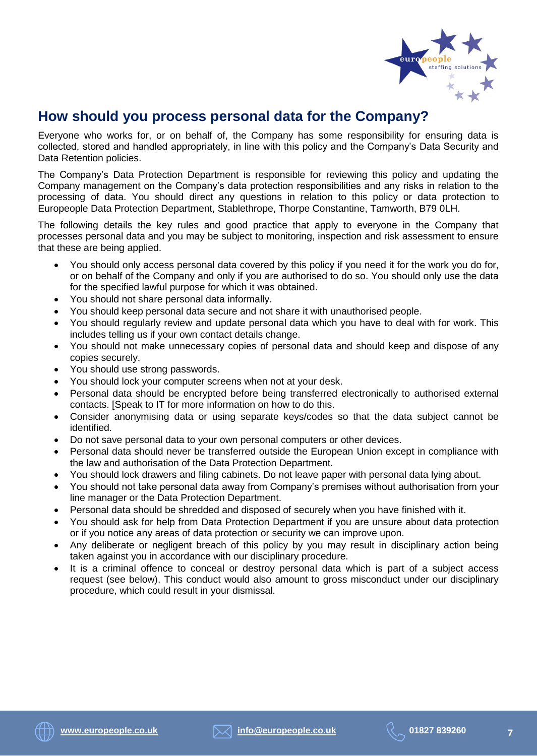

## **How should you process personal data for the Company?**

Everyone who works for, or on behalf of, the Company has some responsibility for ensuring data is collected, stored and handled appropriately, in line with this policy and the Company's Data Security and Data Retention policies.

The Company's Data Protection Department is responsible for reviewing this policy and updating the Company management on the Company's data protection responsibilities and any risks in relation to the processing of data. You should direct any questions in relation to this policy or data protection to Europeople Data Protection Department, Stablethrope, Thorpe Constantine, Tamworth, B79 0LH.

The following details the key rules and good practice that apply to everyone in the Company that processes personal data and you may be subject to monitoring, inspection and risk assessment to ensure that these are being applied.

- You should only access personal data covered by this policy if you need it for the work you do for, or on behalf of the Company and only if you are authorised to do so. You should only use the data for the specified lawful purpose for which it was obtained.
- You should not share personal data informally.
- You should keep personal data secure and not share it with unauthorised people.
- You should regularly review and update personal data which you have to deal with for work. This includes telling us if your own contact details change.
- You should not make unnecessary copies of personal data and should keep and dispose of any copies securely.
- You should use strong passwords.
- You should lock your computer screens when not at your desk.
- Personal data should be encrypted before being transferred electronically to authorised external contacts. [Speak to IT for more information on how to do this.
- Consider anonymising data or using separate keys/codes so that the data subject cannot be identified.
- Do not save personal data to your own personal computers or other devices.
- Personal data should never be transferred outside the European Union except in compliance with the law and authorisation of the Data Protection Department.
- You should lock drawers and filing cabinets. Do not leave paper with personal data lying about.
- You should not take personal data away from Company's premises without authorisation from your line manager or the Data Protection Department.
- Personal data should be shredded and disposed of securely when you have finished with it.
- You should ask for help from Data Protection Department if you are unsure about data protection or if you notice any areas of data protection or security we can improve upon.
- Any deliberate or negligent breach of this policy by you may result in disciplinary action being taken against you in accordance with our disciplinary procedure.
- It is a criminal offence to conceal or destroy personal data which is part of a subject access request (see below). This conduct would also amount to gross misconduct under our disciplinary procedure, which could result in your dismissal.

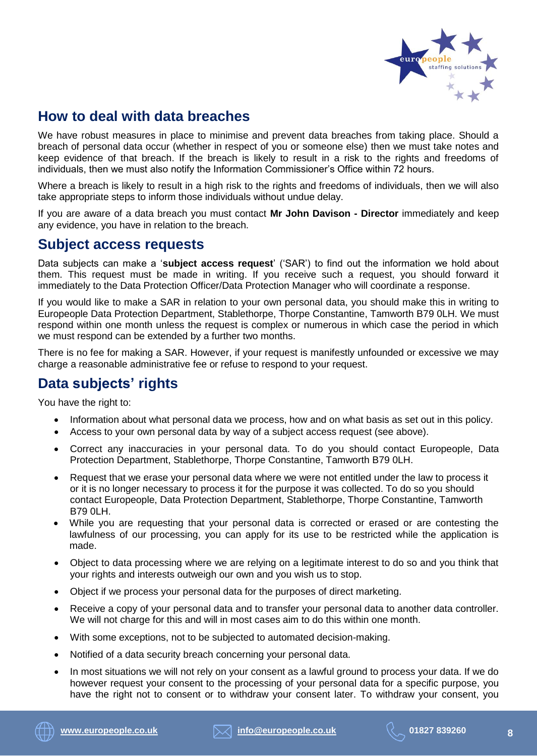

# **How to deal with data breaches**

We have robust measures in place to minimise and prevent data breaches from taking place. Should a breach of personal data occur (whether in respect of you or someone else) then we must take notes and keep evidence of that breach. If the breach is likely to result in a risk to the rights and freedoms of individuals, then we must also notify the Information Commissioner's Office within 72 hours.

Where a breach is likely to result in a high risk to the rights and freedoms of individuals, then we will also take appropriate steps to inform those individuals without undue delay.

If you are aware of a data breach you must contact **Mr John Davison - Director** immediately and keep any evidence, you have in relation to the breach.

#### **Subject access requests**

Data subjects can make a '**subject access request**' ('SAR') to find out the information we hold about them. This request must be made in writing. If you receive such a request, you should forward it immediately to the Data Protection Officer/Data Protection Manager who will coordinate a response.

If you would like to make a SAR in relation to your own personal data, you should make this in writing to Europeople Data Protection Department, Stablethorpe, Thorpe Constantine, Tamworth B79 0LH. We must respond within one month unless the request is complex or numerous in which case the period in which we must respond can be extended by a further two months.

There is no fee for making a SAR. However, if your request is manifestly unfounded or excessive we may charge a reasonable administrative fee or refuse to respond to your request.

# **Data subjects' rights**

You have the right to:

- Information about what personal data we process, how and on what basis as set out in this policy.
- Access to your own personal data by way of a subject access request (see above).
- Correct any inaccuracies in your personal data. To do you should contact Europeople, Data Protection Department, Stablethorpe, Thorpe Constantine, Tamworth B79 0LH.
- Request that we erase your personal data where we were not entitled under the law to process it or it is no longer necessary to process it for the purpose it was collected. To do so you should contact Europeople, Data Protection Department, Stablethorpe, Thorpe Constantine, Tamworth B79 0LH.
- While you are requesting that your personal data is corrected or erased or are contesting the lawfulness of our processing, you can apply for its use to be restricted while the application is made.
- Object to data processing where we are relying on a legitimate interest to do so and you think that your rights and interests outweigh our own and you wish us to stop.
- Object if we process your personal data for the purposes of direct marketing.
- Receive a copy of your personal data and to transfer your personal data to another data controller. We will not charge for this and will in most cases aim to do this within one month.
- With some exceptions, not to be subjected to automated decision-making.
- Notified of a data security breach concerning your personal data.
- In most situations we will not rely on your consent as a lawful ground to process your data. If we do however request your consent to the processing of your personal data for a specific purpose, you have the right not to consent or to withdraw your consent later. To withdraw your consent, you